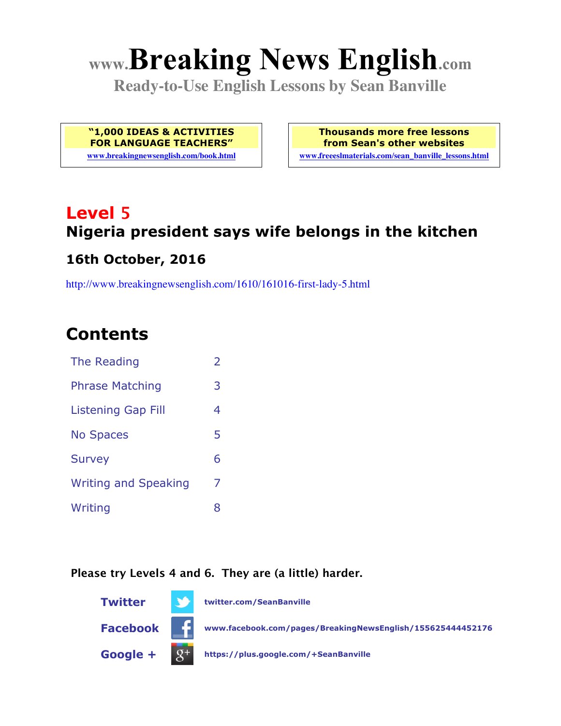# **www.Breaking News English.com**

**Ready-to-Use English Lessons by Sean Banville**

**"1,000 IDEAS & ACTIVITIES FOR LANGUAGE TEACHERS"**

**www.breakingnewsenglish.com/book.html**

**Thousands more free lessons from Sean's other websites www.freeeslmaterials.com/sean\_banville\_lessons.html**

# **Level 5 Nigeria president says wife belongs in the kitchen**

# **16th October, 2016**

http://www.breakingnewsenglish.com/1610/161016-first-lady-5.html

### **Contents**

| The Reading                 | $\overline{\phantom{a}}$ |
|-----------------------------|--------------------------|
| <b>Phrase Matching</b>      | 3                        |
| <b>Listening Gap Fill</b>   | 4                        |
| <b>No Spaces</b>            | 5                        |
| <b>Survey</b>               | 6                        |
| <b>Writing and Speaking</b> | 7                        |
| Writing                     | 8                        |

#### **Please try Levels 4 and 6. They are (a little) harder.**

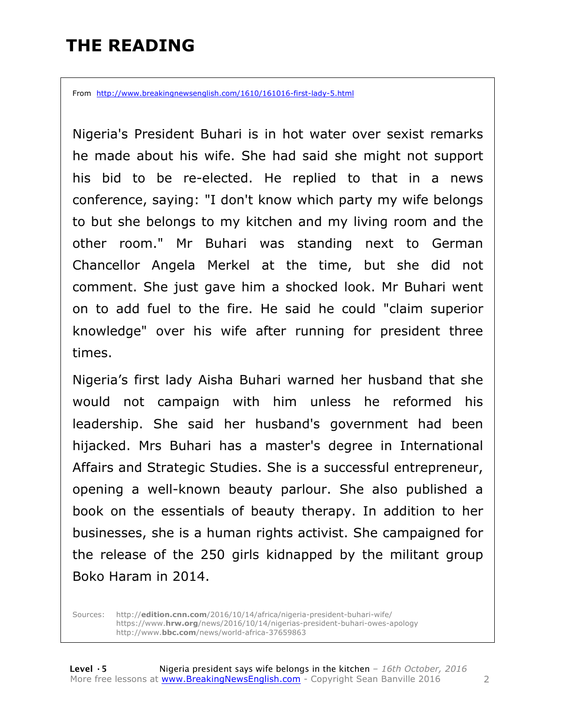# **THE READING**

From http://www.breakingnewsenglish.com/1610/161016-first-lady-5.html

Nigeria's President Buhari is in hot water over sexist remarks he made about his wife. She had said she might not support his bid to be re-elected. He replied to that in a news conference, saying: "I don't know which party my wife belongs to but she belongs to my kitchen and my living room and the other room." Mr Buhari was standing next to German Chancellor Angela Merkel at the time, but she did not comment. She just gave him a shocked look. Mr Buhari went on to add fuel to the fire. He said he could "claim superior knowledge" over his wife after running for president three times.

Nigeria's first lady Aisha Buhari warned her husband that she would not campaign with him unless he reformed his leadership. She said her husband's government had been hijacked. Mrs Buhari has a master's degree in International Affairs and Strategic Studies. She is a successful entrepreneur, opening a well-known beauty parlour. She also published a book on the essentials of beauty therapy. In addition to her businesses, she is a human rights activist. She campaigned for the release of the 250 girls kidnapped by the militant group Boko Haram in 2014.

Sources: http://**edition.cnn.com**/2016/10/14/africa/nigeria-president-buhari-wife/ https://www.**hrw.org**/news/2016/10/14/nigerias-president-buhari-owes-apology http://www.**bbc.com**/news/world-africa-37659863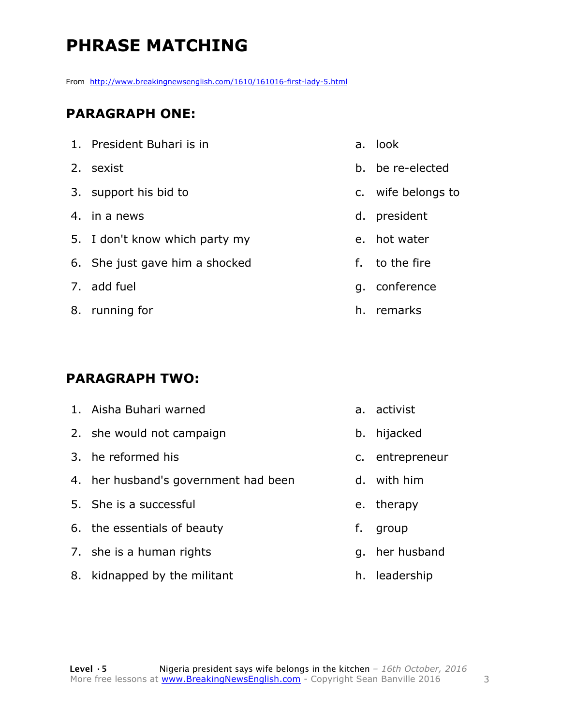# **PHRASE MATCHING**

From http://www.breakingnewsenglish.com/1610/161016-first-lady-5.html

#### **PARAGRAPH ONE:**

| 1. President Buhari is in      |
|--------------------------------|
| 2. sexist                      |
| 3. support his bid to          |
| 4. in a news                   |
| 5. I don't know which party my |
| 6. She just gave him a shocked |
| 7. add fuel                    |
| 8. running for                 |

#### **PARAGRAPH TWO:**

| 1. Aisha Buhari warned               |    | a. activist     |
|--------------------------------------|----|-----------------|
| 2. she would not campaign            | b. | hijacked        |
| 3. he reformed his                   |    | c. entrepreneur |
| 4. her husband's government had been |    | d. with him     |
| 5. She is a successful               |    | e. therapy      |
| 6. the essentials of beauty          | f. | group           |
| 7. she is a human rights             | q. | her husband     |
| 8. kidnapped by the militant         |    | h. leadership   |

- a. look
- b. be re-elected
- c. wife belongs to
- d. president
- e. hot water
- f. to the fire
- g. conference
- h. remarks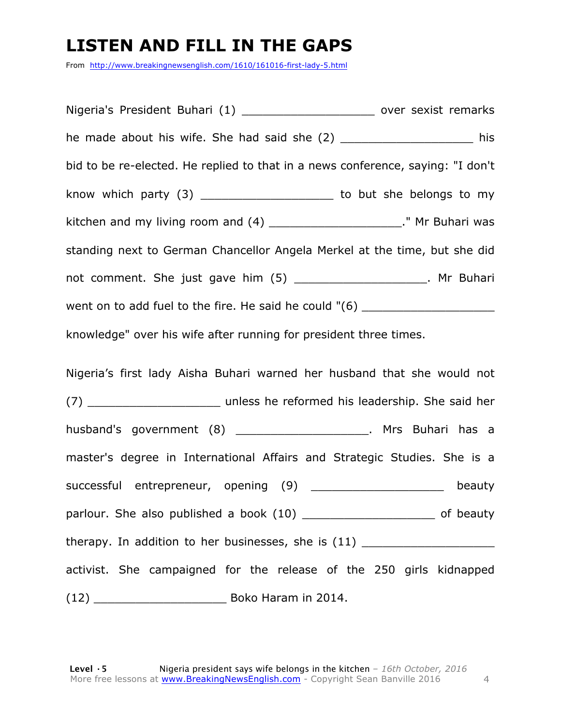# **LISTEN AND FILL IN THE GAPS**

From http://www.breakingnewsenglish.com/1610/161016-first-lady-5.html

Nigeria's President Buhari (1) and the sexist remarks he made about his wife. She had said she (2) \_\_\_\_\_\_\_\_\_\_\_\_\_\_\_\_\_\_\_\_\_\_\_\_\_ his bid to be re-elected. He replied to that in a news conference, saying: "I don't know which party (3) \_\_\_\_\_\_\_\_\_\_\_\_\_\_\_\_\_\_\_\_\_\_\_ to but she belongs to my kitchen and my living room and  $(4)$  \_\_\_\_\_\_\_\_\_\_\_\_\_\_\_\_\_\_\_\_\_\_\_." Mr Buhari was standing next to German Chancellor Angela Merkel at the time, but she did not comment. She just gave him (5) \_\_\_\_\_\_\_\_\_\_\_\_\_\_\_\_\_\_\_\_\_. Mr Buhari went on to add fuel to the fire. He said he could "(6) \_\_\_\_\_\_\_\_\_\_\_\_\_\_\_\_\_\_\_\_\_\_\_\_\_ knowledge" over his wife after running for president three times. Nigeria's first lady Aisha Buhari warned her husband that she would not

(7) \_\_\_\_\_\_\_\_\_\_\_\_\_\_\_\_\_\_\_ unless he reformed his leadership. She said her husband's government (8) \_\_\_\_\_\_\_\_\_\_\_\_\_\_\_\_\_\_\_\_. Mrs Buhari has a master's degree in International Affairs and Strategic Studies. She is a successful entrepreneur, opening (9) \_\_\_\_\_\_\_\_\_\_\_\_\_\_\_\_\_\_\_\_ beauty parlour. She also published a book (10) \_\_\_\_\_\_\_\_\_\_\_\_\_\_\_\_\_\_\_\_\_\_\_\_ of beauty therapy. In addition to her businesses, she is (11) \_\_\_\_\_\_\_\_\_\_\_\_\_\_\_\_\_\_\_ activist. She campaigned for the release of the 250 girls kidnapped (12) \_\_\_\_\_\_\_\_\_\_\_\_\_\_\_\_\_\_\_ Boko Haram in 2014.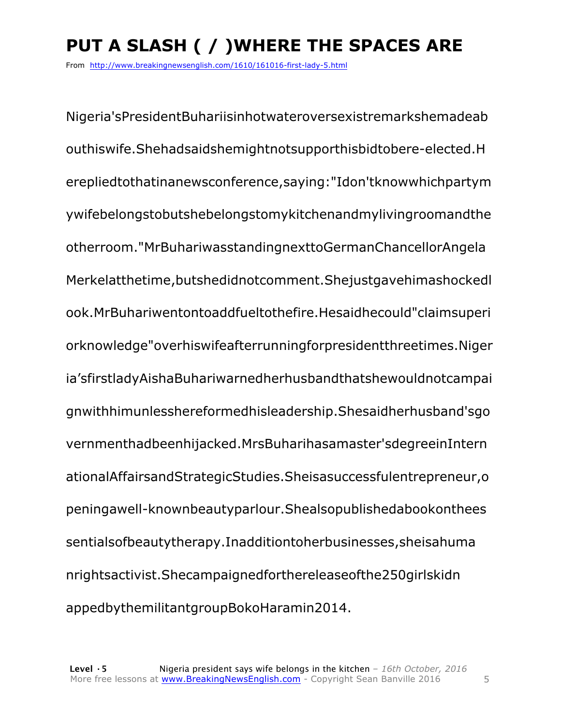# **PUT A SLASH ( / )WHERE THE SPACES ARE**

From http://www.breakingnewsenglish.com/1610/161016-first-lady-5.html

Nigeria'sPresidentBuhariisinhotwateroversexistremarkshemadeab outhiswife.Shehadsaidshemightnotsupporthisbidtobere-elected.H erepliedtothatinanewsconference,saying:"Idon'tknowwhichpartym ywifebelongstobutshebelongstomykitchenandmylivingroomandthe otherroom."MrBuhariwasstandingnexttoGermanChancellorAngela Merkelatthetime,butshedidnotcomment.Shejustgavehimashockedl ook.MrBuhariwentontoaddfueltothefire.Hesaidhecould"claimsuperi orknowledge"overhiswifeafterrunningforpresidentthreetimes.Niger ia'sfirstladyAishaBuhariwarnedherhusbandthatshewouldnotcampai gnwithhimunlesshereformedhisleadership.Shesaidherhusband'sgo vernmenthadbeenhijacked.MrsBuharihasamaster'sdegreeinIntern ationalAffairsandStrategicStudies.Sheisasuccessfulentrepreneur,o peningawell-knownbeautyparlour.Shealsopublishedabookonthees sentialsofbeautytherapy.Inadditiontoherbusinesses,sheisahuma nrightsactivist.Shecampaignedforthereleaseofthe250girlskidn appedbythemilitantgroupBokoHaramin2014.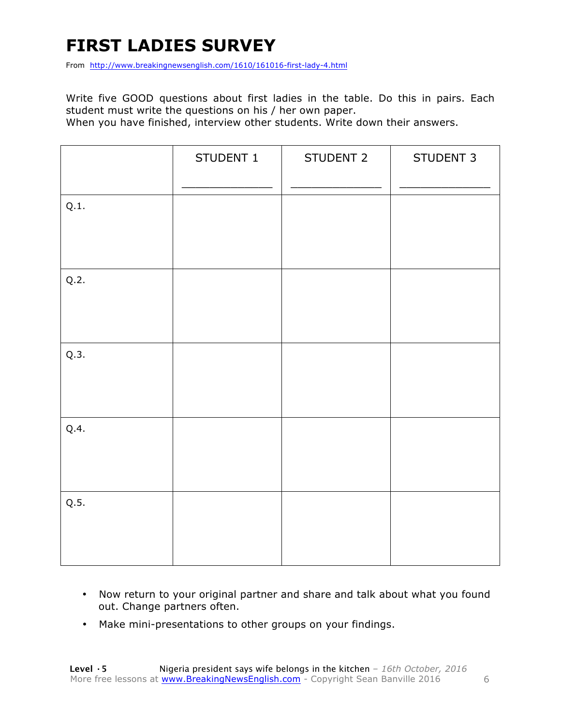# **FIRST LADIES SURVEY**

From http://www.breakingnewsenglish.com/1610/161016-first-lady-4.html

Write five GOOD questions about first ladies in the table. Do this in pairs. Each student must write the questions on his / her own paper.

When you have finished, interview other students. Write down their answers.

|      | STUDENT 1 | STUDENT 2 | STUDENT 3 |
|------|-----------|-----------|-----------|
| Q.1. |           |           |           |
| Q.2. |           |           |           |
| Q.3. |           |           |           |
| Q.4. |           |           |           |
| Q.5. |           |           |           |

- Now return to your original partner and share and talk about what you found out. Change partners often.
- Make mini-presentations to other groups on your findings.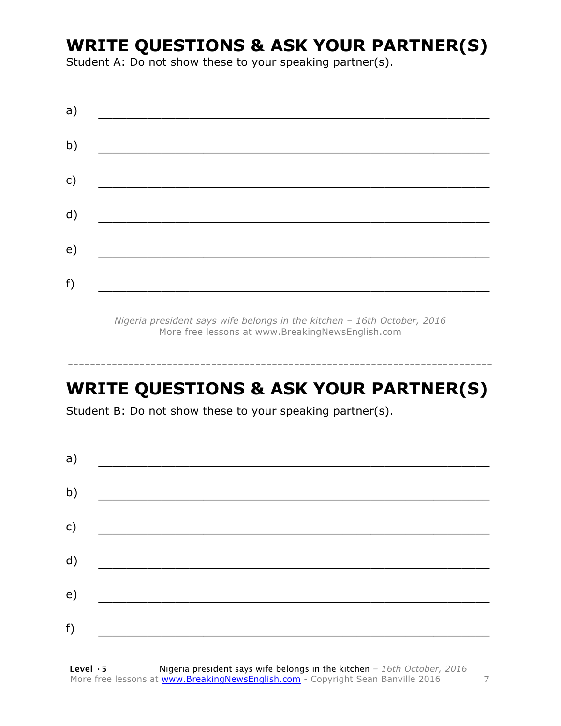# **WRITE QUESTIONS & ASK YOUR PARTNER(S)**

Student A: Do not show these to your speaking partner(s).

| a) |  |  |
|----|--|--|
| b) |  |  |
| c) |  |  |
| d) |  |  |
| e) |  |  |
| f) |  |  |
|    |  |  |

*Nigeria president says wife belongs in the kitchen – 16th October, 2016* More free lessons at www.BreakingNewsEnglish.com

# **WRITE QUESTIONS & ASK YOUR PARTNER(S)**

-----------------------------------------------------------------------------

Student B: Do not show these to your speaking partner(s).

| a) |  |  |
|----|--|--|
| b) |  |  |
| c) |  |  |
| d) |  |  |
| e) |  |  |
| f) |  |  |
|    |  |  |